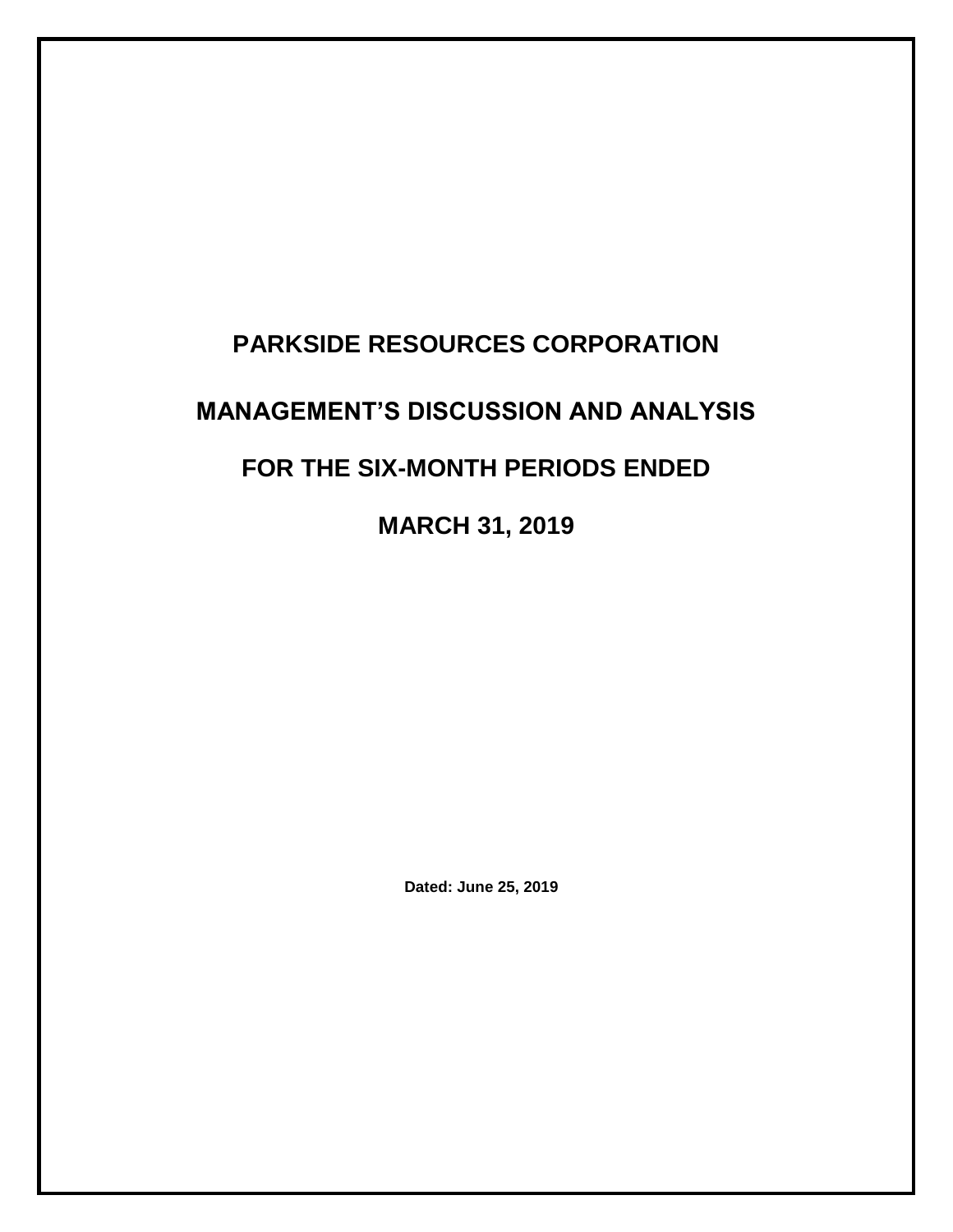# **PARKSIDE RESOURCES CORPORATION MANAGEMENT'S DISCUSSION AND ANALYSIS FOR THE SIX-MONTH PERIODS ENDED MARCH 31, 2019**

**Dated: June 25, 2019**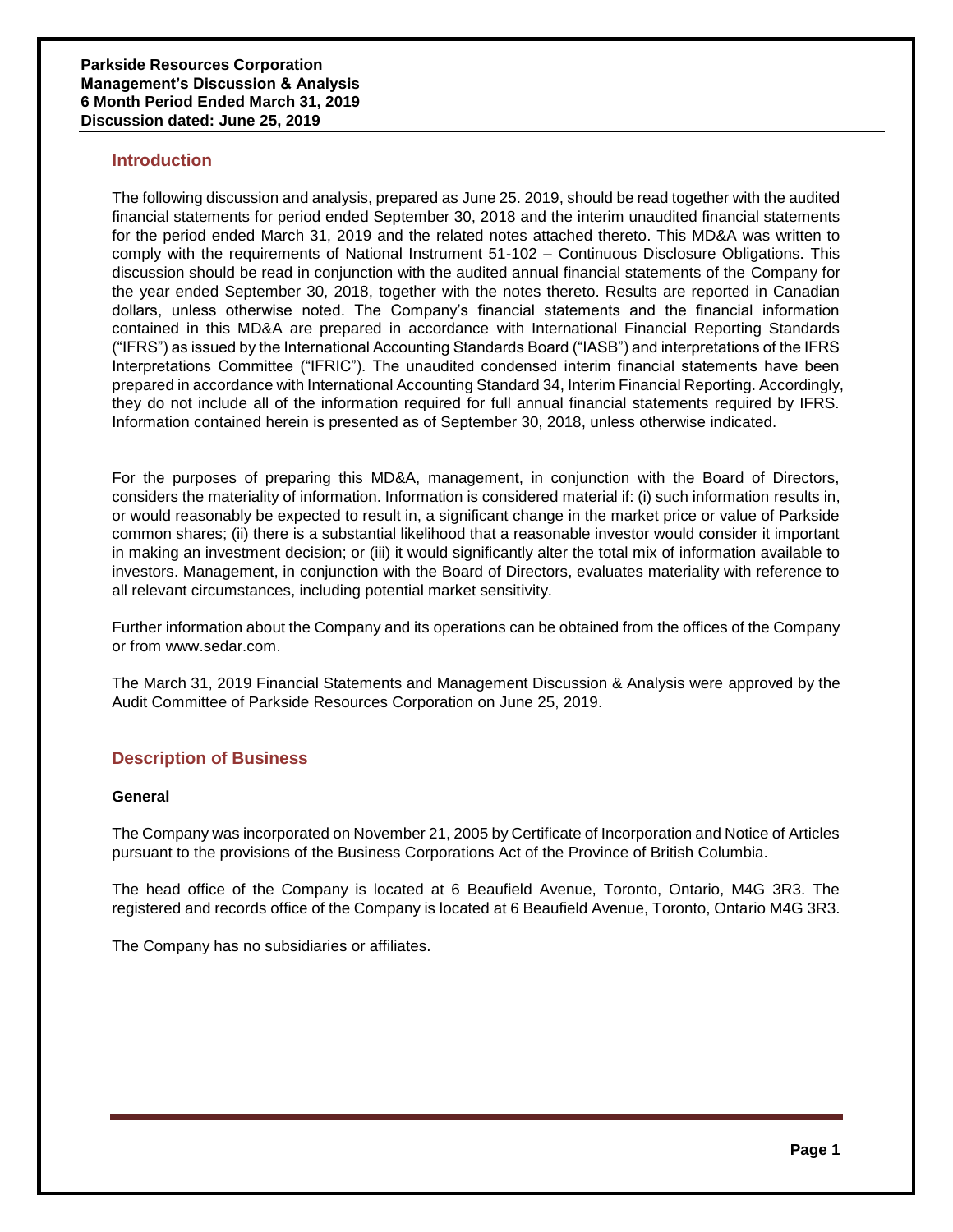# **Introduction**

The following discussion and analysis, prepared as June 25. 2019, should be read together with the audited financial statements for period ended September 30, 2018 and the interim unaudited financial statements for the period ended March 31, 2019 and the related notes attached thereto. This MD&A was written to comply with the requirements of National Instrument 51-102 – Continuous Disclosure Obligations. This discussion should be read in conjunction with the audited annual financial statements of the Company for the year ended September 30, 2018, together with the notes thereto. Results are reported in Canadian dollars, unless otherwise noted. The Company's financial statements and the financial information contained in this MD&A are prepared in accordance with International Financial Reporting Standards ("IFRS") as issued by the International Accounting Standards Board ("IASB") and interpretations of the IFRS Interpretations Committee ("IFRIC"). The unaudited condensed interim financial statements have been prepared in accordance with International Accounting Standard 34, Interim Financial Reporting. Accordingly, they do not include all of the information required for full annual financial statements required by IFRS. Information contained herein is presented as of September 30, 2018, unless otherwise indicated.

For the purposes of preparing this MD&A, management, in conjunction with the Board of Directors, considers the materiality of information. Information is considered material if: (i) such information results in, or would reasonably be expected to result in, a significant change in the market price or value of Parkside common shares; (ii) there is a substantial likelihood that a reasonable investor would consider it important in making an investment decision; or (iii) it would significantly alter the total mix of information available to investors. Management, in conjunction with the Board of Directors, evaluates materiality with reference to all relevant circumstances, including potential market sensitivity.

Further information about the Company and its operations can be obtained from the offices of the Company or from [www.sedar.com.](http://www.sedar.com/)

The March 31, 2019 Financial Statements and Management Discussion & Analysis were approved by the Audit Committee of Parkside Resources Corporation on June 25, 2019.

# **Description of Business**

# **General**

The Company was incorporated on November 21, 2005 by Certificate of Incorporation and Notice of Articles pursuant to the provisions of the Business Corporations Act of the Province of British Columbia.

The head office of the Company is located at 6 Beaufield Avenue, Toronto, Ontario, M4G 3R3. The registered and records office of the Company is located at 6 Beaufield Avenue, Toronto, Ontario M4G 3R3.

The Company has no subsidiaries or affiliates.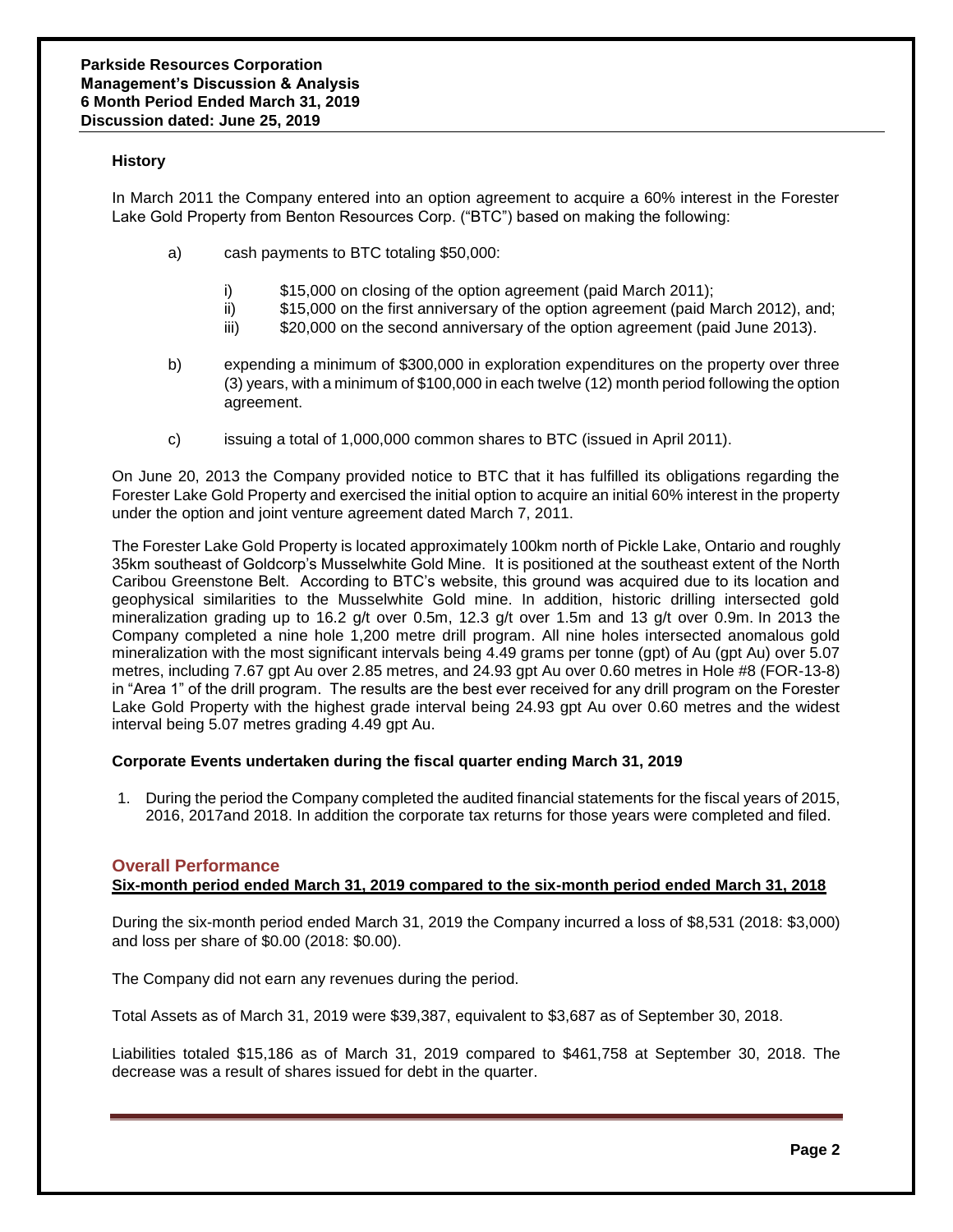# **History**

In March 2011 the Company entered into an option agreement to acquire a 60% interest in the Forester Lake Gold Property from Benton Resources Corp. ("BTC") based on making the following:

- a) cash payments to BTC totaling \$50,000:
	- i) \$15,000 on closing of the option agreement (paid March 2011);
	- ii) \$15,000 on the first anniversary of the option agreement (paid March 2012), and;
	- iii) \$20,000 on the second anniversary of the option agreement (paid June 2013).
- b) expending a minimum of \$300,000 in exploration expenditures on the property over three (3) years, with a minimum of \$100,000 in each twelve (12) month period following the option agreement.
- c) issuing a total of 1,000,000 common shares to BTC (issued in April 2011).

On June 20, 2013 the Company provided notice to BTC that it has fulfilled its obligations regarding the Forester Lake Gold Property and exercised the initial option to acquire an initial 60% interest in the property under the option and joint venture agreement dated March 7, 2011.

The Forester Lake Gold Property is located approximately 100km north of Pickle Lake, Ontario and roughly 35km southeast of Goldcorp's Musselwhite Gold Mine. It is positioned at the southeast extent of the North Caribou Greenstone Belt. According to BTC's website, this ground was acquired due to its location and geophysical similarities to the Musselwhite Gold mine. In addition, historic drilling intersected gold mineralization grading up to 16.2 g/t over 0.5m, 12.3 g/t over 1.5m and 13 g/t over 0.9m. In 2013 the Company completed a nine hole 1,200 metre drill program. All nine holes intersected anomalous gold mineralization with the most significant intervals being 4.49 grams per tonne (gpt) of Au (gpt Au) over 5.07 metres, including 7.67 gpt Au over 2.85 metres, and 24.93 gpt Au over 0.60 metres in Hole #8 (FOR-13-8) in "Area 1" of the drill program. The results are the best ever received for any drill program on the Forester Lake Gold Property with the highest grade interval being 24.93 gpt Au over 0.60 metres and the widest interval being 5.07 metres grading 4.49 gpt Au.

# **Corporate Events undertaken during the fiscal quarter ending March 31, 2019**

1. During the period the Company completed the audited financial statements for the fiscal years of 2015, 2016, 2017and 2018. In addition the corporate tax returns for those years were completed and filed.

# **Overall Performance**

# **Six-month period ended March 31, 2019 compared to the six-month period ended March 31, 2018**

During the six-month period ended March 31, 2019 the Company incurred a loss of \$8,531 (2018: \$3,000) and loss per share of \$0.00 (2018: \$0.00).

The Company did not earn any revenues during the period.

Total Assets as of March 31, 2019 were \$39,387, equivalent to \$3,687 as of September 30, 2018.

Liabilities totaled \$15,186 as of March 31, 2019 compared to \$461,758 at September 30, 2018. The decrease was a result of shares issued for debt in the quarter.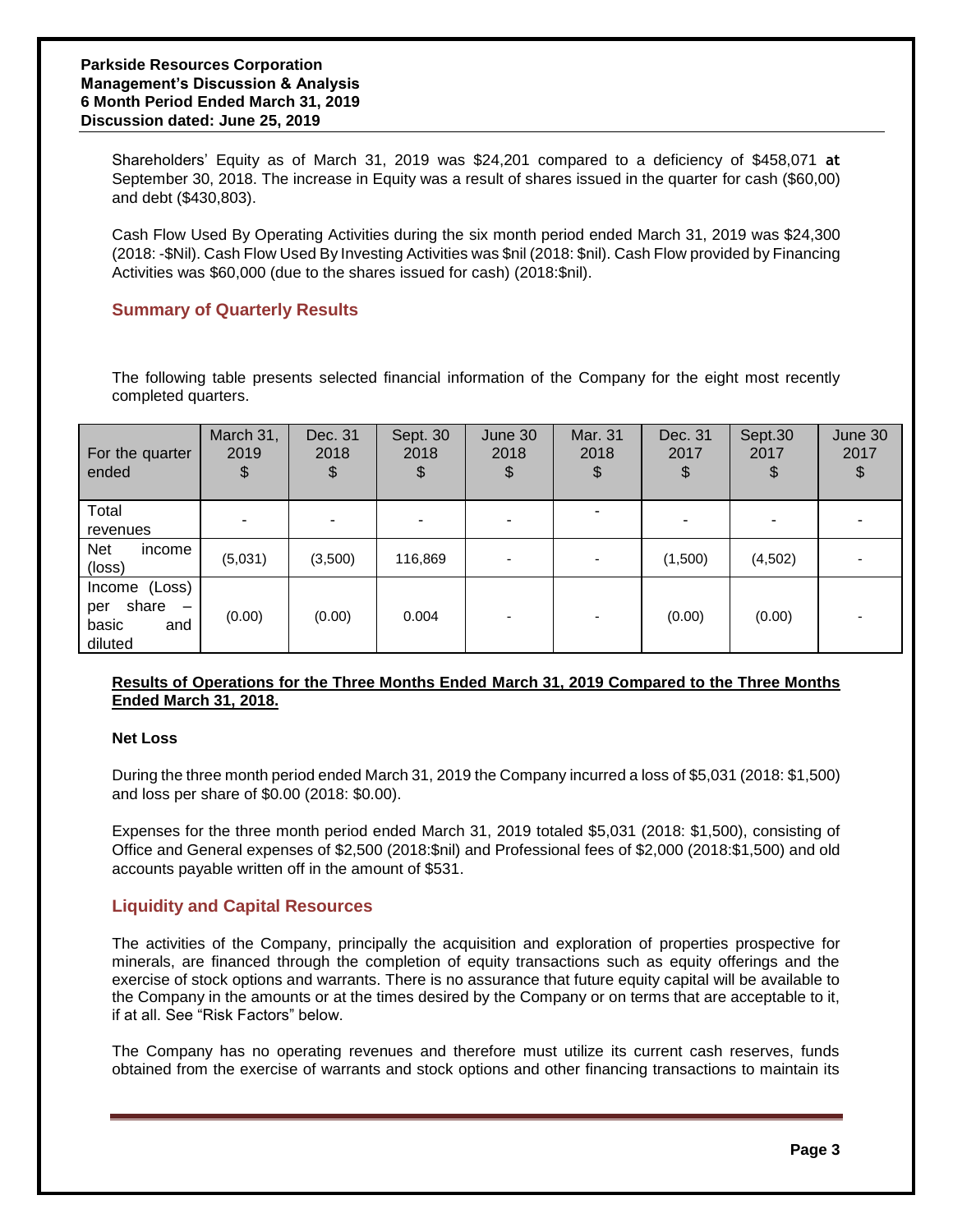Shareholders' Equity as of March 31, 2019 was \$24,201 compared to a deficiency of \$458,071 **at** September 30, 2018. The increase in Equity was a result of shares issued in the quarter for cash (\$60,00) and debt (\$430,803).

Cash Flow Used By Operating Activities during the six month period ended March 31, 2019 was \$24,300 (2018: -\$Nil). Cash Flow Used By Investing Activities was \$nil (2018: \$nil). Cash Flow provided by Financing Activities was \$60,000 (due to the shares issued for cash) (2018:\$nil).

# **Summary of Quarterly Results**

The following table presents selected financial information of the Company for the eight most recently completed quarters.

| For the quarter<br>ended                                                             | March 31,<br>2019<br>\$ | Dec. 31<br>2018<br>\$ | Sept. 30<br>2018<br>\$ | June 30<br>2018<br>\$ | Mar. 31<br>2018<br>\$ | Dec. 31<br>2017<br>\$ | Sept.30<br>2017<br>\$ | June 30<br>2017 |
|--------------------------------------------------------------------------------------|-------------------------|-----------------------|------------------------|-----------------------|-----------------------|-----------------------|-----------------------|-----------------|
| Total<br>revenues                                                                    |                         |                       |                        |                       |                       |                       |                       |                 |
| <b>Net</b><br>income<br>(loss)                                                       | (5,031)                 | (3,500)               | 116,869                |                       |                       | (1,500)               | (4,502)               |                 |
| Income (Loss)<br>share<br>per<br>$\overline{\phantom{a}}$<br>basic<br>and<br>diluted | (0.00)                  | (0.00)                | 0.004                  |                       |                       | (0.00)                | (0.00)                |                 |

# **Results of Operations for the Three Months Ended March 31, 2019 Compared to the Three Months Ended March 31, 2018.**

# **Net Loss**

During the three month period ended March 31, 2019 the Company incurred a loss of \$5,031 (2018: \$1,500) and loss per share of \$0.00 (2018: \$0.00).

Expenses for the three month period ended March 31, 2019 totaled \$5,031 (2018: \$1,500), consisting of Office and General expenses of \$2,500 (2018:\$nil) and Professional fees of \$2,000 (2018:\$1,500) and old accounts payable written off in the amount of \$531.

# **Liquidity and Capital Resources**

The activities of the Company, principally the acquisition and exploration of properties prospective for minerals, are financed through the completion of equity transactions such as equity offerings and the exercise of stock options and warrants. There is no assurance that future equity capital will be available to the Company in the amounts or at the times desired by the Company or on terms that are acceptable to it, if at all. See "Risk Factors" below.

The Company has no operating revenues and therefore must utilize its current cash reserves, funds obtained from the exercise of warrants and stock options and other financing transactions to maintain its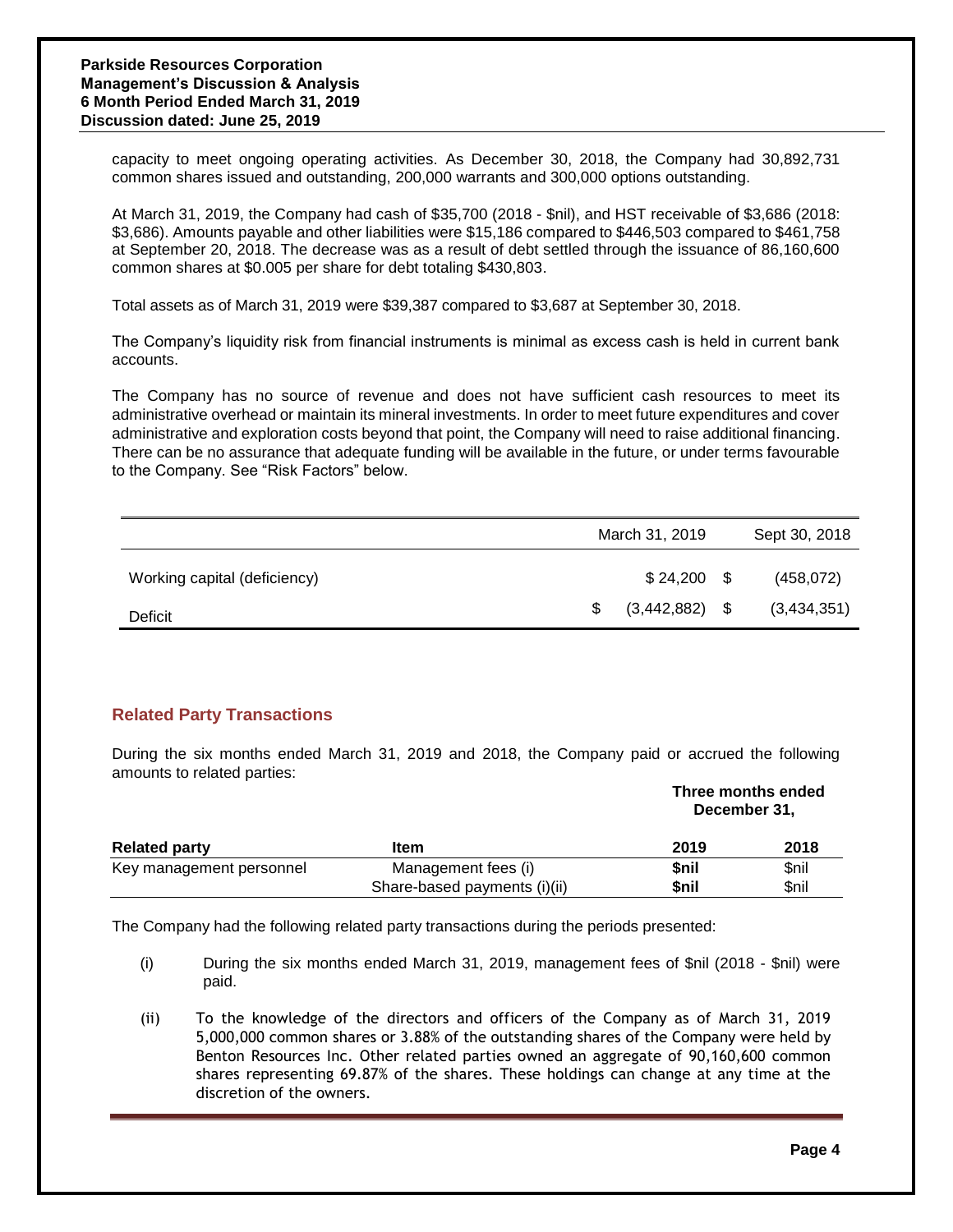capacity to meet ongoing operating activities. As December 30, 2018, the Company had 30,892,731 common shares issued and outstanding, 200,000 warrants and 300,000 options outstanding.

At March 31, 2019, the Company had cash of \$35,700 (2018 - \$nil), and HST receivable of \$3,686 (2018: \$3,686). Amounts payable and other liabilities were \$15,186 compared to \$446,503 compared to \$461,758 at September 20, 2018. The decrease was as a result of debt settled through the issuance of 86,160,600 common shares at \$0.005 per share for debt totaling \$430,803.

Total assets as of March 31, 2019 were \$39,387 compared to \$3,687 at September 30, 2018.

The Company's liquidity risk from financial instruments is minimal as excess cash is held in current bank accounts.

The Company has no source of revenue and does not have sufficient cash resources to meet its administrative overhead or maintain its mineral investments. In order to meet future expenditures and cover administrative and exploration costs beyond that point, the Company will need to raise additional financing. There can be no assurance that adequate funding will be available in the future, or under terms favourable to the Company. See "Risk Factors" below.

|                              | March 31, 2019   | Sept 30, 2018 |
|------------------------------|------------------|---------------|
| Working capital (deficiency) | $$24,200$ \, \$  | (458, 072)    |
| Deficit                      | $(3,442,882)$ \$ | (3,434,351)   |

# **Related Party Transactions**

During the six months ended March 31, 2019 and 2018, the Company paid or accrued the following amounts to related parties:

|                          |                              | Three months ended<br>December 31, |       |  |
|--------------------------|------------------------------|------------------------------------|-------|--|
| <b>Related party</b>     | <b>Item</b>                  | 2019                               | 2018  |  |
| Key management personnel | Management fees (i)          | <b>Snil</b>                        | \$nil |  |
|                          | Share-based payments (i)(ii) | \$nil                              | \$nil |  |

The Company had the following related party transactions during the periods presented:

- (i) During the six months ended March 31, 2019, management fees of \$nil (2018 \$nil) were paid.
- (ii) To the knowledge of the directors and officers of the Company as of March 31, 2019 5,000,000 common shares or 3.88% of the outstanding shares of the Company were held by Benton Resources Inc. Other related parties owned an aggregate of 90,160,600 common shares representing 69.87% of the shares. These holdings can change at any time at the discretion of the owners.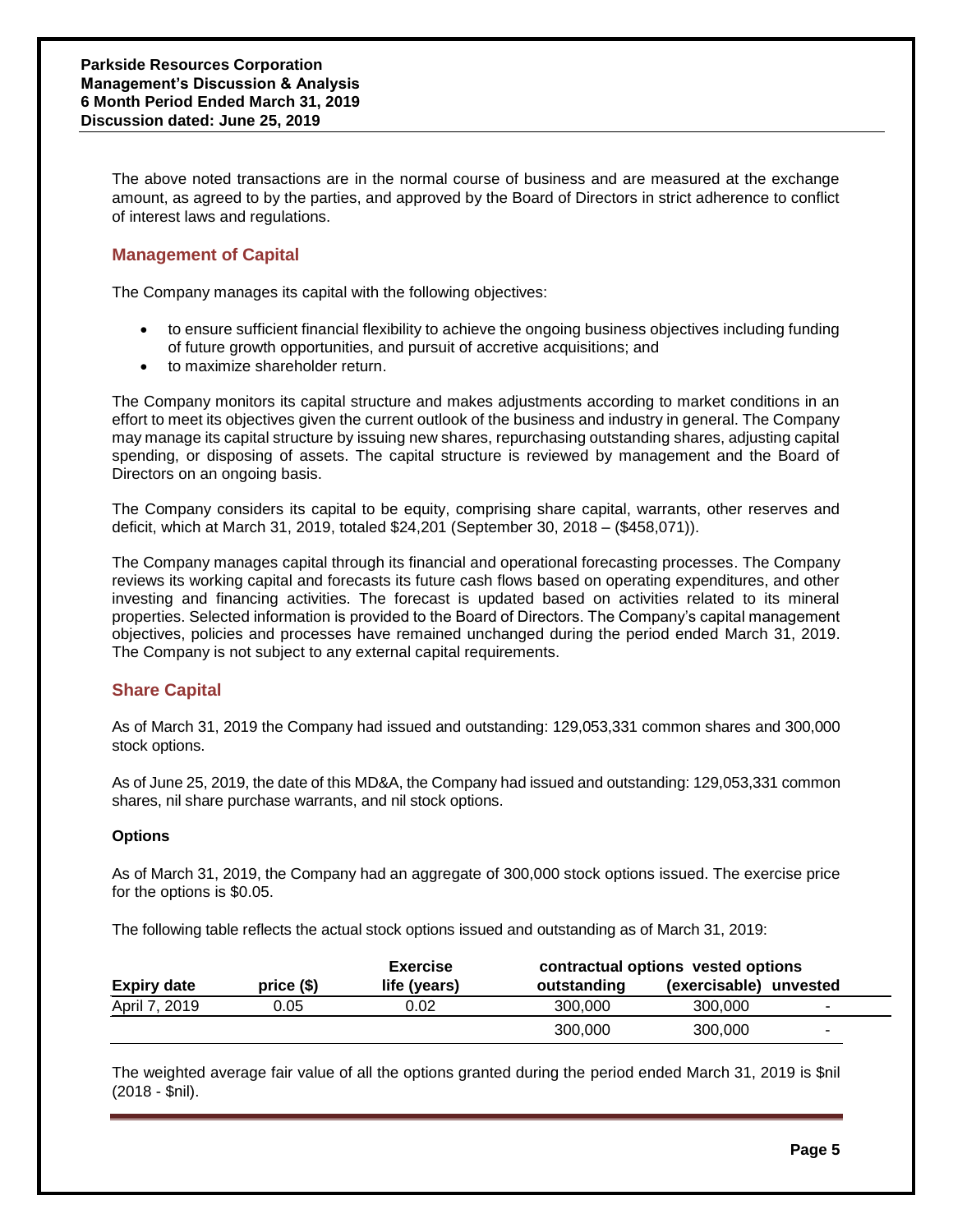The above noted transactions are in the normal course of business and are measured at the exchange amount, as agreed to by the parties, and approved by the Board of Directors in strict adherence to conflict of interest laws and regulations.

# **Management of Capital**

The Company manages its capital with the following objectives:

- to ensure sufficient financial flexibility to achieve the ongoing business objectives including funding of future growth opportunities, and pursuit of accretive acquisitions; and
- to maximize shareholder return.

The Company monitors its capital structure and makes adjustments according to market conditions in an effort to meet its objectives given the current outlook of the business and industry in general. The Company may manage its capital structure by issuing new shares, repurchasing outstanding shares, adjusting capital spending, or disposing of assets. The capital structure is reviewed by management and the Board of Directors on an ongoing basis.

The Company considers its capital to be equity, comprising share capital, warrants, other reserves and deficit, which at March 31, 2019, totaled \$24,201 (September 30, 2018 – (\$458,071)).

The Company manages capital through its financial and operational forecasting processes. The Company reviews its working capital and forecasts its future cash flows based on operating expenditures, and other investing and financing activities. The forecast is updated based on activities related to its mineral properties. Selected information is provided to the Board of Directors. The Company's capital management objectives, policies and processes have remained unchanged during the period ended March 31, 2019. The Company is not subject to any external capital requirements.

# **Share Capital**

As of March 31, 2019 the Company had issued and outstanding: 129,053,331 common shares and 300,000 stock options.

As of June 25, 2019, the date of this MD&A, the Company had issued and outstanding: 129,053,331 common shares, nil share purchase warrants, and nil stock options.

# **Options**

As of March 31, 2019, the Company had an aggregate of 300,000 stock options issued. The exercise price for the options is \$0.05.

The following table reflects the actual stock options issued and outstanding as of March 31, 2019:

|                    |            | <b>Exercise</b> | contractual options vested options |                        |                |
|--------------------|------------|-----------------|------------------------------------|------------------------|----------------|
| <b>Expiry date</b> | $price($)$ | life (years)    | outstanding                        | (exercisable) unvested |                |
| April 7, 2019      | 0.05       | 0.02            | 300,000                            | 300,000                |                |
|                    |            |                 | 300,000                            | 300,000                | $\blacksquare$ |

The weighted average fair value of all the options granted during the period ended March 31, 2019 is \$nil (2018 - \$nil).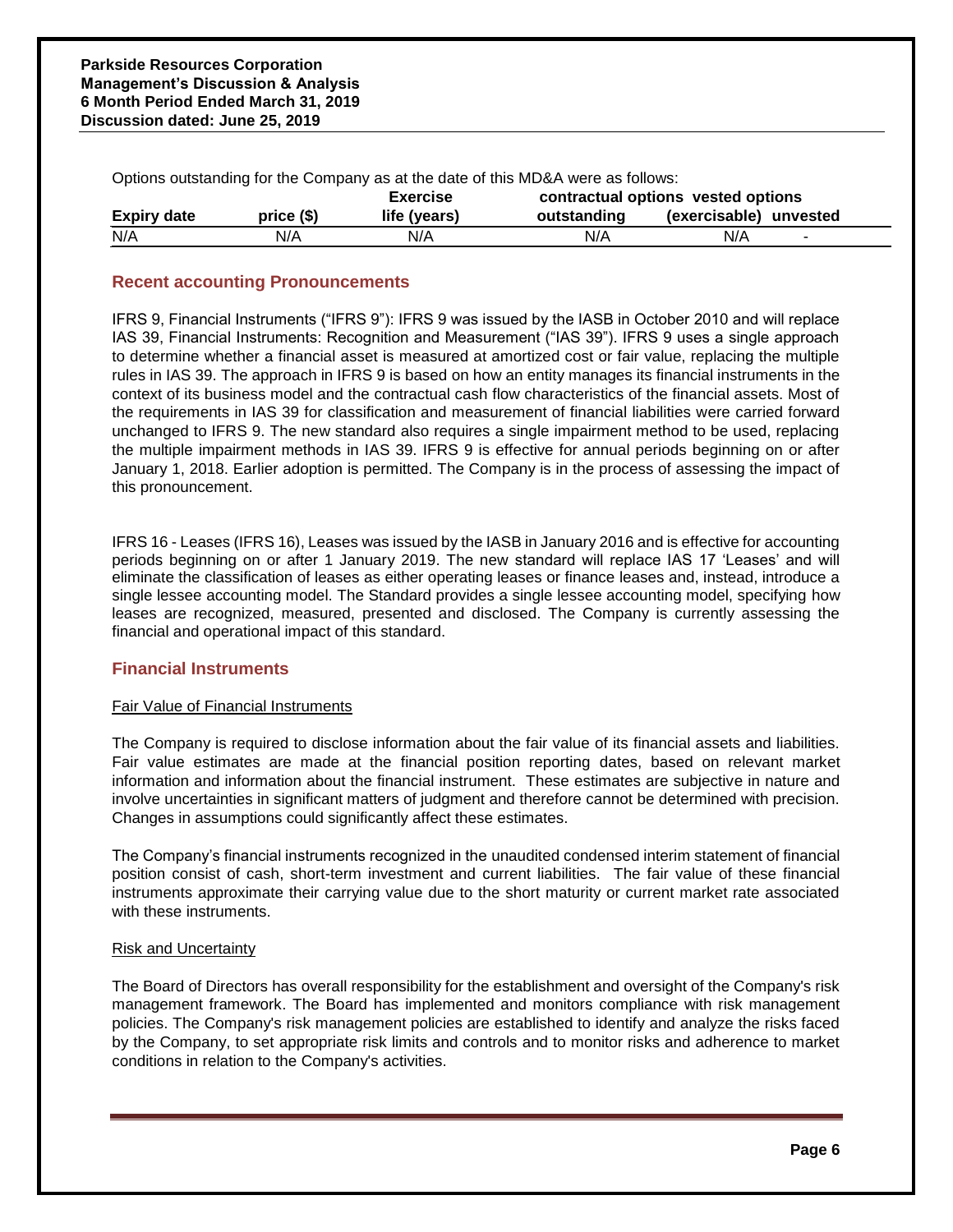| Options outstanding for the Company as at the date of this MD&A were as follows: |             |                 |                                    |                                 |  |  |
|----------------------------------------------------------------------------------|-------------|-----------------|------------------------------------|---------------------------------|--|--|
|                                                                                  |             | <b>Exercise</b> | contractual options vested options |                                 |  |  |
| <b>Expiry date</b>                                                               | price $(§)$ | life (years)    | outstanding                        | (exercisable) unvested          |  |  |
| N/A                                                                              | N/A         | N/A             | N/A                                | N/A<br>$\overline{\phantom{a}}$ |  |  |

# **Recent accounting Pronouncements**

IFRS 9, Financial Instruments ("IFRS 9"): IFRS 9 was issued by the IASB in October 2010 and will replace IAS 39, Financial Instruments: Recognition and Measurement ("IAS 39"). IFRS 9 uses a single approach to determine whether a financial asset is measured at amortized cost or fair value, replacing the multiple rules in IAS 39. The approach in IFRS 9 is based on how an entity manages its financial instruments in the context of its business model and the contractual cash flow characteristics of the financial assets. Most of the requirements in IAS 39 for classification and measurement of financial liabilities were carried forward unchanged to IFRS 9. The new standard also requires a single impairment method to be used, replacing the multiple impairment methods in IAS 39. IFRS 9 is effective for annual periods beginning on or after January 1, 2018. Earlier adoption is permitted. The Company is in the process of assessing the impact of this pronouncement.

IFRS 16 - Leases (IFRS 16), Leases was issued by the IASB in January 2016 and is effective for accounting periods beginning on or after 1 January 2019. The new standard will replace IAS 17 'Leases' and will eliminate the classification of leases as either operating leases or finance leases and, instead, introduce a single lessee accounting model. The Standard provides a single lessee accounting model, specifying how leases are recognized, measured, presented and disclosed. The Company is currently assessing the financial and operational impact of this standard.

# **Financial Instruments**

# Fair Value of Financial Instruments

The Company is required to disclose information about the fair value of its financial assets and liabilities. Fair value estimates are made at the financial position reporting dates, based on relevant market information and information about the financial instrument. These estimates are subjective in nature and involve uncertainties in significant matters of judgment and therefore cannot be determined with precision. Changes in assumptions could significantly affect these estimates.

The Company's financial instruments recognized in the unaudited condensed interim statement of financial position consist of cash, short-term investment and current liabilities. The fair value of these financial instruments approximate their carrying value due to the short maturity or current market rate associated with these instruments.

# Risk and Uncertainty

The Board of Directors has overall responsibility for the establishment and oversight of the Company's risk management framework. The Board has implemented and monitors compliance with risk management policies. The Company's risk management policies are established to identify and analyze the risks faced by the Company, to set appropriate risk limits and controls and to monitor risks and adherence to market conditions in relation to the Company's activities.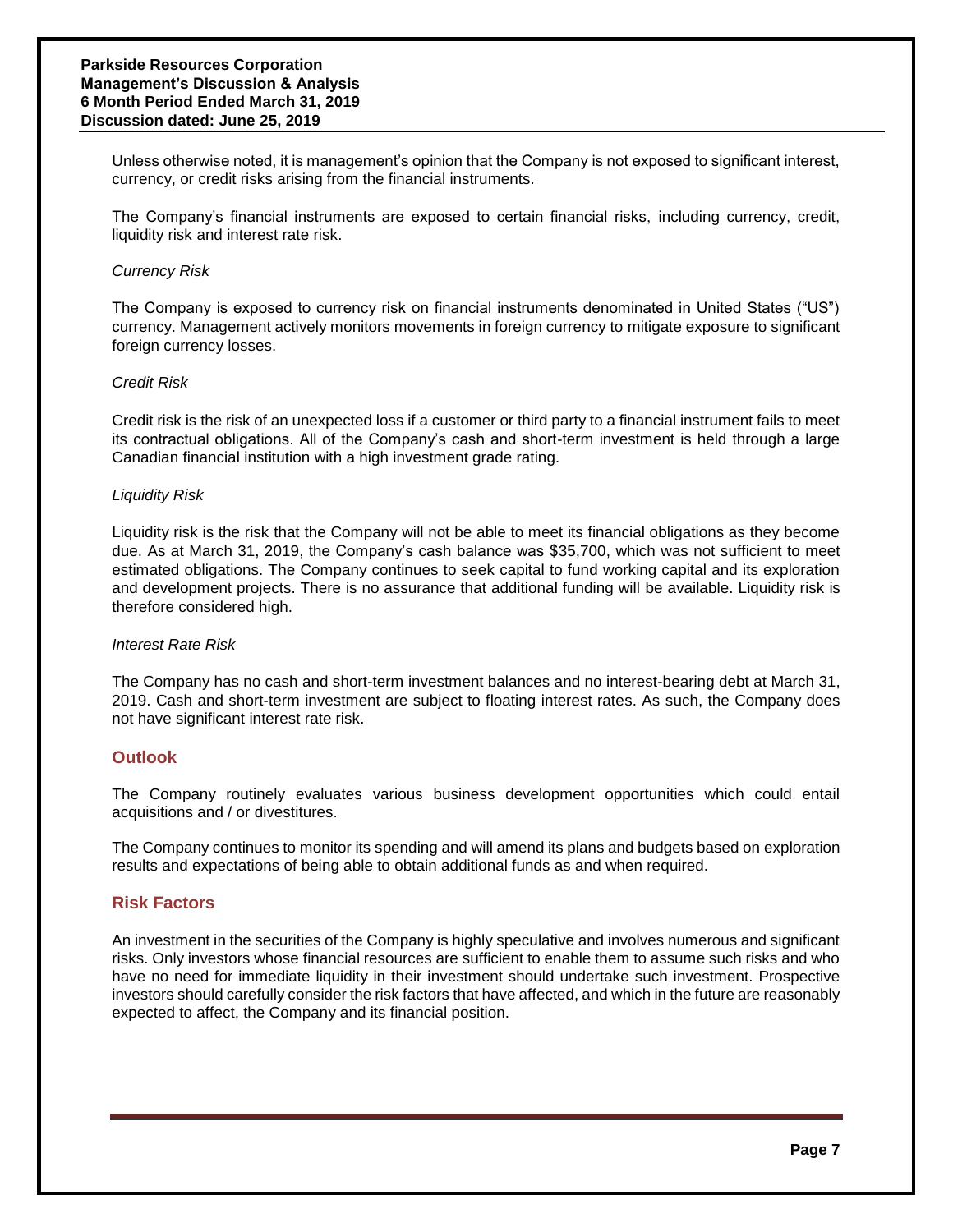Unless otherwise noted, it is management's opinion that the Company is not exposed to significant interest, currency, or credit risks arising from the financial instruments.

The Company's financial instruments are exposed to certain financial risks, including currency, credit, liquidity risk and interest rate risk.

## *Currency Risk*

The Company is exposed to currency risk on financial instruments denominated in United States ("US") currency. Management actively monitors movements in foreign currency to mitigate exposure to significant foreign currency losses.

#### *Credit Risk*

Credit risk is the risk of an unexpected loss if a customer or third party to a financial instrument fails to meet its contractual obligations. All of the Company's cash and short-term investment is held through a large Canadian financial institution with a high investment grade rating.

#### *Liquidity Risk*

Liquidity risk is the risk that the Company will not be able to meet its financial obligations as they become due. As at March 31, 2019, the Company's cash balance was \$35,700, which was not sufficient to meet estimated obligations. The Company continues to seek capital to fund working capital and its exploration and development projects. There is no assurance that additional funding will be available. Liquidity risk is therefore considered high.

#### *Interest Rate Risk*

The Company has no cash and short-term investment balances and no interest-bearing debt at March 31, 2019. Cash and short-term investment are subject to floating interest rates. As such, the Company does not have significant interest rate risk.

# **Outlook**

The Company routinely evaluates various business development opportunities which could entail acquisitions and / or divestitures.

The Company continues to monitor its spending and will amend its plans and budgets based on exploration results and expectations of being able to obtain additional funds as and when required.

# **Risk Factors**

An investment in the securities of the Company is highly speculative and involves numerous and significant risks. Only investors whose financial resources are sufficient to enable them to assume such risks and who have no need for immediate liquidity in their investment should undertake such investment. Prospective investors should carefully consider the risk factors that have affected, and which in the future are reasonably expected to affect, the Company and its financial position.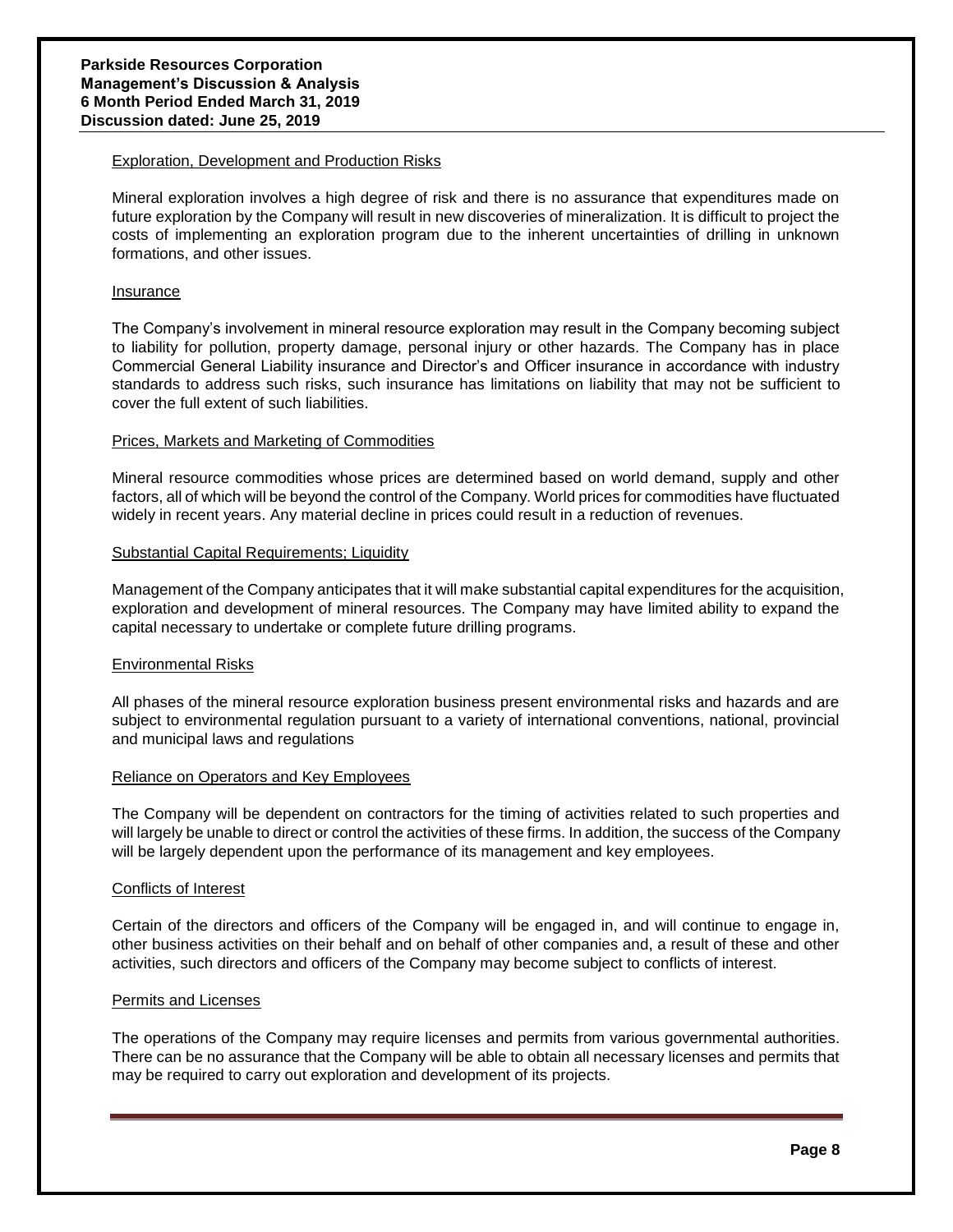## Exploration, Development and Production Risks

Mineral exploration involves a high degree of risk and there is no assurance that expenditures made on future exploration by the Company will result in new discoveries of mineralization. It is difficult to project the costs of implementing an exploration program due to the inherent uncertainties of drilling in unknown formations, and other issues.

#### Insurance

The Company's involvement in mineral resource exploration may result in the Company becoming subject to liability for pollution, property damage, personal injury or other hazards. The Company has in place Commercial General Liability insurance and Director's and Officer insurance in accordance with industry standards to address such risks, such insurance has limitations on liability that may not be sufficient to cover the full extent of such liabilities.

# Prices, Markets and Marketing of Commodities

Mineral resource commodities whose prices are determined based on world demand, supply and other factors, all of which will be beyond the control of the Company. World prices for commodities have fluctuated widely in recent years. Any material decline in prices could result in a reduction of revenues.

#### Substantial Capital Requirements; Liquidity

Management of the Company anticipates that it will make substantial capital expenditures for the acquisition, exploration and development of mineral resources. The Company may have limited ability to expand the capital necessary to undertake or complete future drilling programs.

# Environmental Risks

All phases of the mineral resource exploration business present environmental risks and hazards and are subject to environmental regulation pursuant to a variety of international conventions, national, provincial and municipal laws and regulations

#### Reliance on Operators and Key Employees

The Company will be dependent on contractors for the timing of activities related to such properties and will largely be unable to direct or control the activities of these firms. In addition, the success of the Company will be largely dependent upon the performance of its management and key employees.

#### Conflicts of Interest

Certain of the directors and officers of the Company will be engaged in, and will continue to engage in, other business activities on their behalf and on behalf of other companies and, a result of these and other activities, such directors and officers of the Company may become subject to conflicts of interest.

# Permits and Licenses

The operations of the Company may require licenses and permits from various governmental authorities. There can be no assurance that the Company will be able to obtain all necessary licenses and permits that may be required to carry out exploration and development of its projects.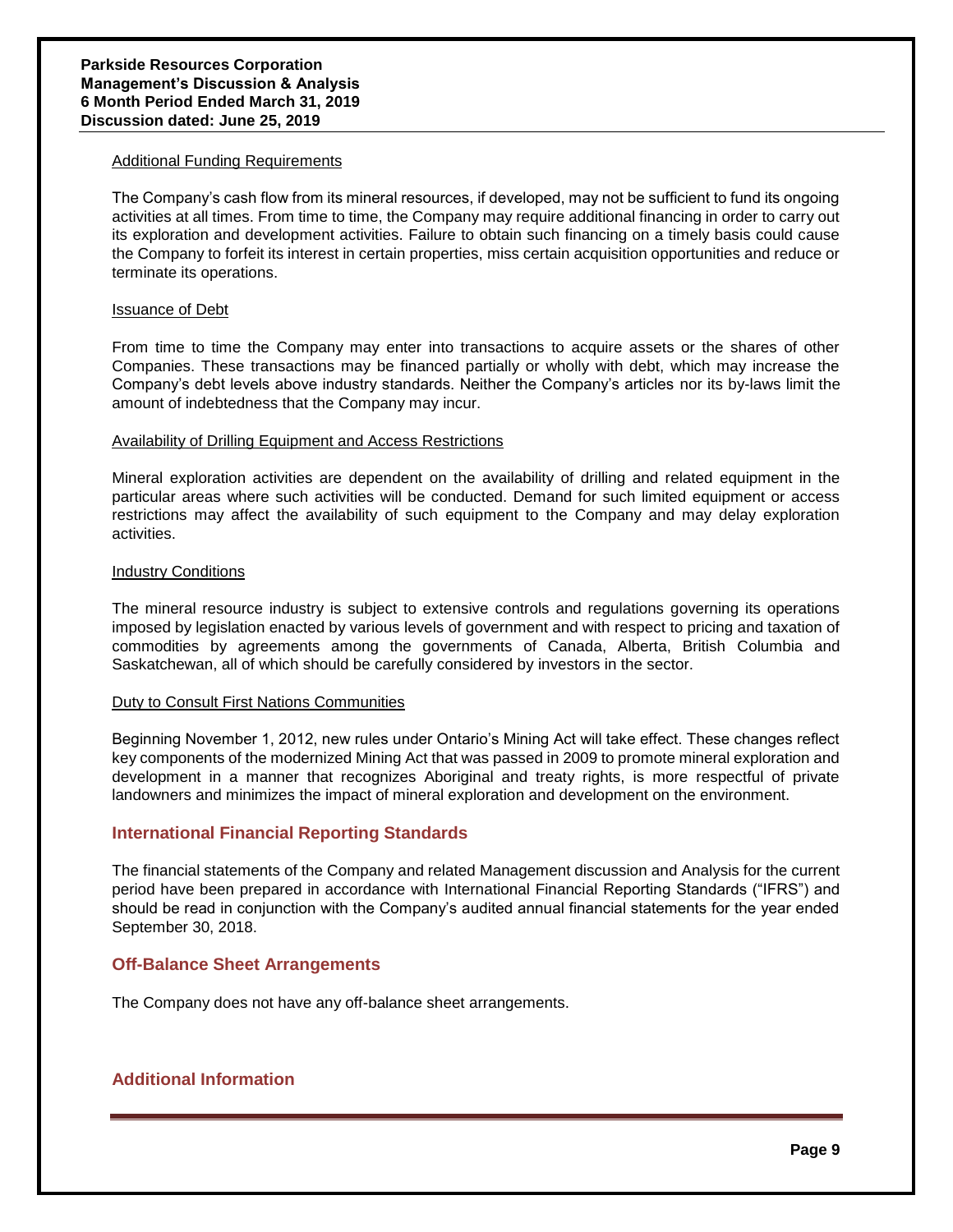#### Additional Funding Requirements

The Company's cash flow from its mineral resources, if developed, may not be sufficient to fund its ongoing activities at all times. From time to time, the Company may require additional financing in order to carry out its exploration and development activities. Failure to obtain such financing on a timely basis could cause the Company to forfeit its interest in certain properties, miss certain acquisition opportunities and reduce or terminate its operations.

#### Issuance of Debt

From time to time the Company may enter into transactions to acquire assets or the shares of other Companies. These transactions may be financed partially or wholly with debt, which may increase the Company's debt levels above industry standards. Neither the Company's articles nor its by-laws limit the amount of indebtedness that the Company may incur.

# Availability of Drilling Equipment and Access Restrictions

Mineral exploration activities are dependent on the availability of drilling and related equipment in the particular areas where such activities will be conducted. Demand for such limited equipment or access restrictions may affect the availability of such equipment to the Company and may delay exploration activities.

#### Industry Conditions

The mineral resource industry is subject to extensive controls and regulations governing its operations imposed by legislation enacted by various levels of government and with respect to pricing and taxation of commodities by agreements among the governments of Canada, Alberta, British Columbia and Saskatchewan, all of which should be carefully considered by investors in the sector.

# Duty to Consult First Nations Communities

Beginning November 1, 2012, new rules under Ontario's Mining Act will take effect. These changes reflect key components of the modernized Mining Act that was passed in 2009 to promote mineral exploration and development in a manner that recognizes Aboriginal and treaty rights, is more respectful of private landowners and minimizes the impact of mineral exploration and development on the environment.

# **International Financial Reporting Standards**

The financial statements of the Company and related Management discussion and Analysis for the current period have been prepared in accordance with International Financial Reporting Standards ("IFRS") and should be read in conjunction with the Company's audited annual financial statements for the year ended September 30, 2018.

# **Off-Balance Sheet Arrangements**

The Company does not have any off-balance sheet arrangements.

# **Additional Information**